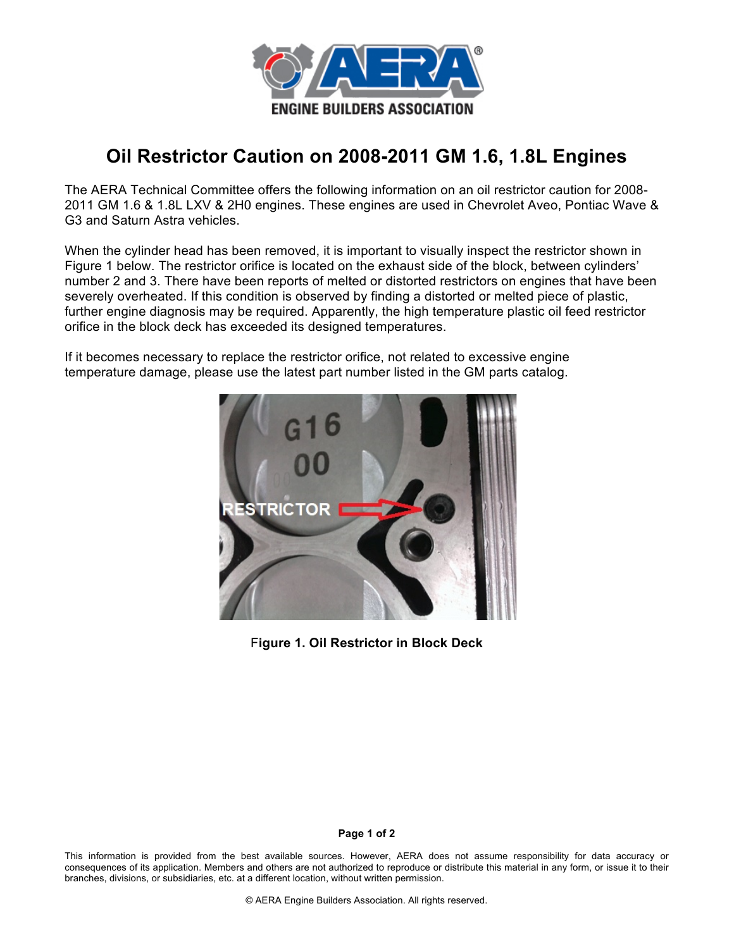

## **Oil Restrictor Caution on 2008-2011 GM 1.6, 1.8L Engines**

The AERA Technical Committee offers the following information on an oil restrictor caution for 2008- 2011 GM 1.6 & 1.8L LXV & 2H0 engines. These engines are used in Chevrolet Aveo, Pontiac Wave & G3 and Saturn Astra vehicles.

When the cylinder head has been removed, it is important to visually inspect the restrictor shown in Figure 1 below. The restrictor orifice is located on the exhaust side of the block, between cylinders' number 2 and 3. There have been reports of melted or distorted restrictors on engines that have been severely overheated. If this condition is observed by finding a distorted or melted piece of plastic, further engine diagnosis may be required. Apparently, the high temperature plastic oil feed restrictor orifice in the block deck has exceeded its designed temperatures.

If it becomes necessary to replace the restrictor orifice, not related to excessive engine temperature damage, please use the latest part number listed in the GM parts catalog.



F**igure 1. Oil Restrictor in Block Deck**

## **Page 1 of 2**

This information is provided from the best available sources. However, AERA does not assume responsibility for data accuracy or consequences of its application. Members and others are not authorized to reproduce or distribute this material in any form, or issue it to their branches, divisions, or subsidiaries, etc. at a different location, without written permission.